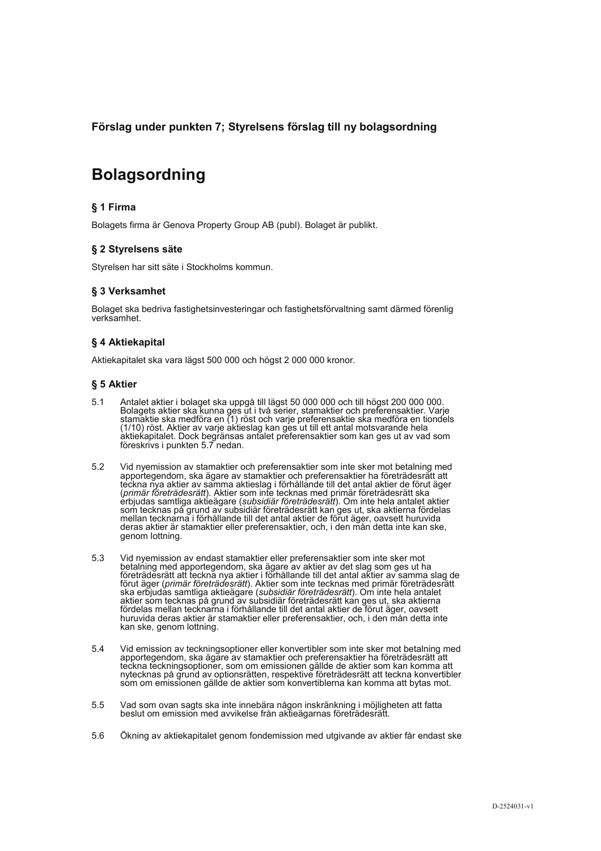Förslag under punkten 7; Styrelsens förslag till ny bolagsordning

# **Bolagsordning**

## § 1 Firma

Bolagets firma är Genova Property Group AB (publ). Bolaget är publikt.

## § 2 Styrelsens säte

Styrelsen har sitt säte i Stockholms kommun.

## § 3 Verksamhet

Bolaget ska bedriva fastighetsinvesteringar och fastighetsförvaltning samt därmed förenlig verksamhet.

## § 4 Aktiekapital

Aktiekapitalet ska vara lägst 500 000 och högst 2 000 000 kronor.

## § 5 Aktier

- $5.1$ Antalet aktier i bolaget ska uppgå till lägst 50 000 000 och till högst 200 000 000. Bolagets aktier ska kunna ges ut i två serier, stamaktier och preferensaktier. Varje<br>stamaktie ska medföra en (1) röst och varje preferensaktie ska medföra en tiondels calinham on a model and the activities and the state of the state and the state of the state and the state and the state of the state state and the state state and the state state and the state state and state and state an föreskrivs i punkten 5.7 nedan.
- $5.2$ Vid nyemission av stamaktier och preferensaktier som inte sker mot betalning med apportegendom, ska ägare av stamaktier och preferensaktier ha företrädesrätt att teckna nya aktier av samma aktieslag i förhållande till det antal aktier de förut äger commar företrädesrätt). Aktier som inte tecknas med primär företrädesrätt ska<br>erbjudas samtliga aktieägare (subsidiär företrädesrätt). Om inte hela antalet aktier som tecknas på grund av subsidiär företrädesrätt kan ges ut, ska aktierna fördelas mellan tecknarna i förhållande till det antal aktier de förut äger, oavsett huruvida deras aktier är stamaktier eller preferensaktier, och, i den mån detta inte kan ske, genom lottning.
- 53 Vid nyemission av endast stamaktier eller preferensaktier som inte sker mot betalning med apportegendom, ska ägare av aktier av det slag som ges ut ha Företrädesrätt att teckna nya aktier i förhållande till det antal aktier av samma slag de<br>företrädesrätt att teckna nya aktier i förhållande till det antal aktier av samma slag de<br>förut äger (primär företrädesrätt). Aktier ska erbjudas samtliga aktieägare (subsidiär företrädesrätt). Om inte hela antalet aktier som tecknas på grund av subsidiär företrädesrätt kan ges ut, ska aktierna fördelas mellan tecknarna i förhållande till det antal aktier de förut äger, oavsett huruvida deras aktier är stamaktier eller preferensaktier, och, i den mån detta inte kan ske, genom lottning.
- 54 Vid emission av teckningsoptioner eller konvertibler som inte sker mot betalning med apportegendom, ska ägare av stamaktier och preferensaktier ha företrädesrätt att reckna teckningsoptioner, som om emissionen gällde de aktier som kan komma att nytecknas på grund av optionsrätten, respektive företrädesrätt att teckna konvertibler som om emissionen gällde de aktier som konvertiblerna kan komma att bytas mot.
- 5.5 Vad som ovan sagts ska inte innebära någon inskränkning i möjligheten att fatta beslut om emission med avvikelse från aktieägarnas företrädesrätt
- 5.6 Ökning av aktiekapitalet genom fondemission med utgivande av aktier får endast ske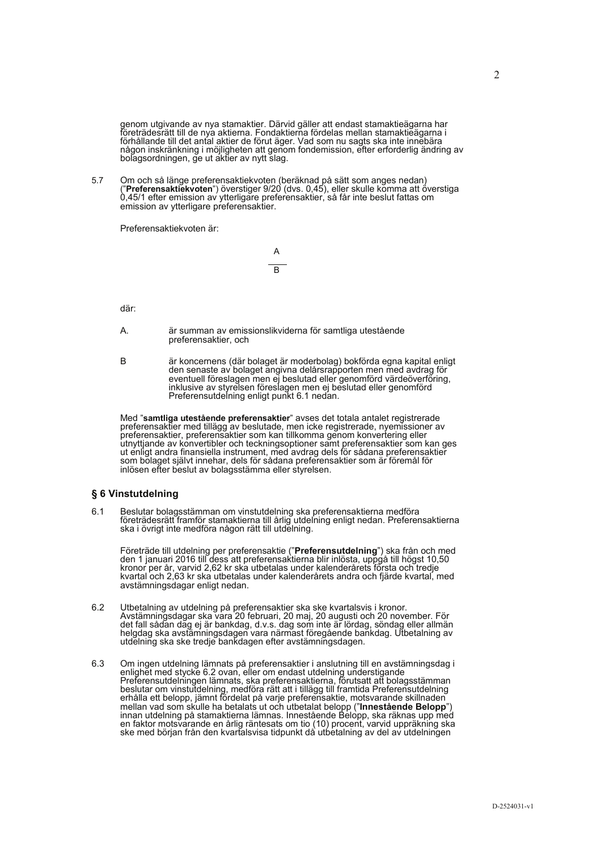genom utgivande av nya stamaktier. Därvid gäller att endast stamaktieägarna har<br>företrädesrätt till de nya aktierna. Fondaktierna fördelas mellan stamaktieägarna i<br>förhållande till det antal aktier de förut äger. Vad som n någon inskränkning i möjligheten att genom fondemission, efter erforderlig ändring av bolagsordningen, ge ut aktier av nytt slag.

Om och så länge preferensaktiekvoten (beräknad på sätt som anges nedan)<br>("Preferensaktiekvoten") överstiger 9/20 (dvs. 0,45), eller skulle komma att överstiga<br>0,45/1 efter emission av ytterligare preferensaktier, så får in 57 emission av vtterligare preferensaktier.

Preferensaktiekvoten är:



där:

- Α. är summan av emissionslikviderna för samtliga utestående preferensaktier, och
- är koncernens (där bolaget är moderbolag) bokförda egna kapital enligt den senaste av bolaget angivna delårsrapporten men med avdrag för eventuell föreslagen men ej beslutad eller genomförd värdeöverföring, inklusive av st  $\overline{B}$ Preferensutdelning enligt punkt 6.1 nedan.

Med "samtliga utestående preferensaktier" avses det totala antalet registrerade preferensaktier med tillägg av beslutade, men icke registrerade, nyemissioner av preferensaktier, preferensaktier som kan tillkomma genom konv preferensaktier, preferensaktier som kan unkommer samt preferensaktier som kan ges<br>ut enligt andra finansiella instrument, med avdrag dels för sådana preferensaktier<br>som bolaget självt innehar, dels för sådana preferensakt inlösen efter beslut av bolagsstämma eller styrelsen.

## § 6 Vinstutdelning

Beslutar bolagsstämman om vinstutdelning ska preferensaktierna medföra 61 Formal Bongovamman om vinstationing ska preferensakterna medicira<br>företrädesrätt framför stamaktierna till årlig utdelning enligt nedan. Preferensaktierna<br>ska i övrigt inte medföra någon rätt till utdelning.

Företräde till utdelning per preferensaktie ("Preferensutdelning") ska från och med<br>den 1 januari 2016 till dess att preferensaktierna blir inlösta, uppgå till högst 10,50 kronor per år, varvid 2,62 kr ska utbetalas under kalenderårets första och tredje<br>kvartal och 2,63 kr ska utbetalas under kalenderårets andra och fjärde kvartal, med avstämningsdagar enligt nedan.

- Utbetalning av utdelning på preferensaktier ska ske kvartalsvis i kronor.<br>Avstämningsdagar ska vara 20 februari, 20 maj, 20 augusti och 20 november. För det fall sådan dag ej är bankdag, d.v.s. dag som inte är lördag, sönd 6.2
- Om ingen utdelning lämnats på preferensaktier i anslutning till en avstämningsdag i enlighet med stycke 6.2 ovan, eller om endast utdelning understigande 6.3 eniighet med stycke 6.2 ovan, eller om endast utdelning understigande<br>Preferensutdelningen lämnats, ska preferensaktierna, förutsatt att bolagsstämman<br>beslutar om vinstutdelning, medföra rätt att i tillägg till framtida Pr ske med början från den kvartalsvisa tidpunkt då utbetalning av del av utdelningen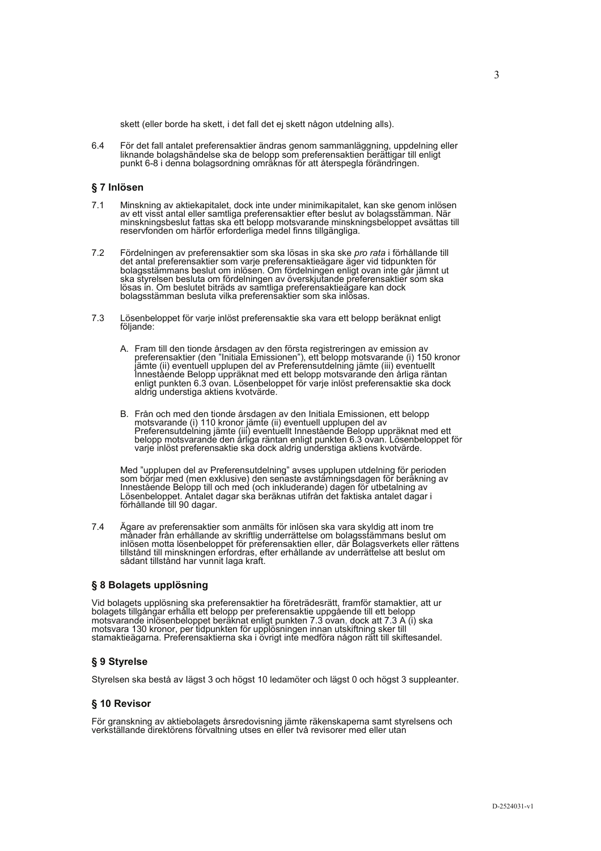skett (eller borde ha skett, i det fall det ej skett någon utdelning alls).

 $64$ För det fall antalet preferensaktier ändras genom sammanläggning, uppdelning eller liknande bolagshändelse ska de belopp som preferensaktien berättigar till enligt punkt 6-8 i denna bolagsordning omräknas för att återspegla förändringen.

#### § 7 Inlösen

- Minskning av aktiekapitalet, dock inte under minimikapitalet, kan ske genom inlösen av ett visst antal eller samtliga preferensaktier efter beslut av bolagsstämman. När  $7<sub>1</sub>$ minskningsbeslut fattas ska ett belopp motsvarande minskningsbeloppet avsättas till reservfonden om härför erforderliga medel finns tillgängliga.
- $72$ Fördelningen av preferensaktier som ska lösas in ska ske pro rata i förhållande till Forderlingen av preferensaktier som ska losas in ska ske *pro rata* i forhallande till det antal preferensaktier som varje preferensaktiegare äger vid tidpunkten för<br>bolagsstämmans beslut om inlösen. Om fördelningen enligt
- $7.3$ Lösenbeloppet för varje inlöst preferensaktie ska vara ett belopp beräknat enligt följande:
	- A. Fram till den tionde årsdagen av den första registreringen av emission av preferensaktier (den "Initiala Emissionen"), ett belopp motsvarande (i) 150 kronor jämte (ii) eventuell upplupen del av Preferensutdelning jämte Jamestående Belopp uppräknat med ett belopp motsvarande den årliga räntan<br>enligt punkten 6.3 ovan. Lösenbeloppet för varje inlöst preferensaktie ska dock aldrig understiga aktiens kvotvärde.
	- B. Från och med den tionde årsdagen av den Initiala Emissionen, ett belopp motsvarande (i) 110 kronor jämte (ii) eventuell upplupen del av<br>Preferensutdelning jämte (iii) eventuellt Innestående Belopp uppräknat med ett<br>belopp motsvarande den årliga räntan enligt punkten 6.3 ovan. Lösenbeloppet för varje inlöst preferensaktie ska dock aldrig understiga aktiens kvotvärde.

Med "upplupen del av Preferensutdelning" avses upplupen utdelning för perioden som börjar med (men exklusive) den senaste avstämningsdagen för beräkning av Innestående Belopp till och med (och inkluderande) dagen för utbetalning av Lösenbeloppet. Antalet dagar ska beräknas utifrån det faktiska antalet dagar i förhållande till 90 dagar.

 $7.4$ Ägare av preferensaktier som anmälts för inlösen ska vara skyldig att inom tre ristander från erhållande av skriftlig underrättelse om bolagsstämmans beslut om<br>inlösen motta lösenbeloppet för preferensaktien eller, där Bolagsverkets eller rättens tillstånd till minskningen erfordras, efter erhållande av underrättelse att beslut om sådant tillstånd har vunnit laga kraft.

#### § 8 Bolagets upplösning

Vid bolagets upplösning ska preferensaktier ha företrädesrätt, framför stamaktier, att ur bolagets tillgångar erhålla ett belopp per preferensaktie uppgående till ett belopp notsvarande inlösenbeloppet beräknat enligt punkten 7.3 ovan, dock att 7.3 A (i) ska<br>motsvarande inlösenbeloppet beräknat enligt punkten 7.3 ovan, dock att 7.3 A (i) ska<br>motsvara 130 kronor, per tidpunkten för upplösningen stamaktieägarna. Preferensaktierna ska i övrigt inte medföra någon rätt till skiftesandel.

## § 9 Styrelse

Styrelsen ska bestå av lägst 3 och högst 10 ledamöter och lägst 0 och högst 3 suppleanter.

### § 10 Revisor

För granskning av aktiebolagets årsredovisning jämte räkenskaperna samt styrelsens och verkställande direktörens förvaltning utses en eller två revisorer med eller utan